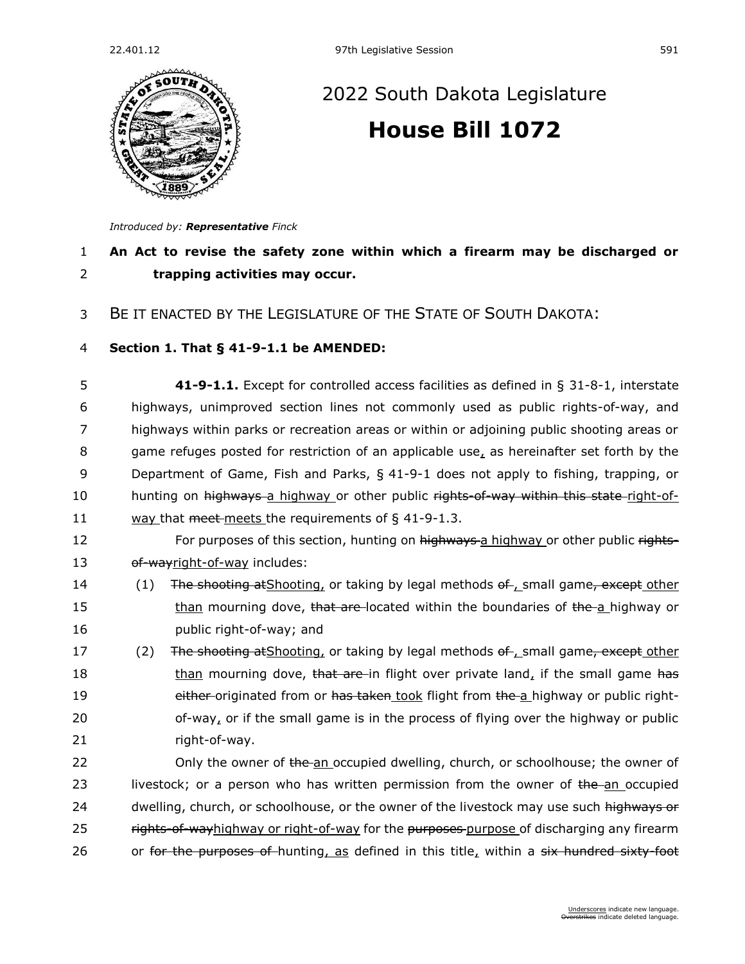

## [2022 South Dakota Legislature](https://sdlegislature.gov/Session/Bills/64) **[House Bill 1072](https://sdlegislature.gov/Session/Bill/22972)**

*Introduced by: Representative [Finck](https://sdlegislature.gov/Legislators/Profile/3937/Detail)*

## 1 **An Act to revise the safety zone within which a firearm may be discharged or**  2 **trapping activities may occur.**

3 BE IT ENACTED BY THE LEGISLATURE OF THE STATE OF SOUTH DAKOTA:

## 4 **Section 1. [That § 41-9-1.1 be AMENDED:](https://sdlegislature.gov/Statutes?Statute=41-9-1.1)**

 **[41-9-1.1.](https://sdlegislature.gov/Statutes/Codified_Laws/DisplayStatute.aspx?Type=Statute&Statute=41-9-1.1)** Except for controlled access facilities as defined in § [31-8-1,](https://sdlegislature.gov/Statutes/Codified_Laws/DisplayStatute.aspx?Type=Statute&Statute=31-8-1) interstate highways, unimproved section lines not commonly used as public rights-of-way, and highways within parks or recreation areas or within or adjoining public shooting areas or game refuges posted for restriction of an applicable use, as hereinafter set forth by the Department of Game, Fish and Parks, § [41-9-1](https://sdlegislature.gov/Statutes/Codified_Laws/DisplayStatute.aspx?Type=Statute&Statute=41-9-1) does not apply to fishing, trapping, or 10 hunting on highways a highway or other public rights-of-way within this state right-of-11 way that meet-meets the requirements of  $\S$  [41-9-1.3.](https://sdlegislature.gov/Statutes/Codified_Laws/DisplayStatute.aspx?Type=Statute&Statute=41-9-1.3)

- 12 For purposes of this section, hunting on highways a highway or other public rights-13 of-wayright-of-way includes:
- 14 (1) The shooting at Shooting, or taking by legal methods of , small game, except other 15 than mourning dove, that are located within the boundaries of the a highway or 16 public right-of-way; and
- 17 (2) The shooting at Shooting, or taking by legal methods of , small game, except other 18 than mourning dove, that are in flight over private land, if the small game has 19 either originated from or has taken took flight from the a highway or public right- $20$  of-way, or if the small game is in the process of flying over the highway or public 21 right-of-way.
- 22 Only the owner of the an occupied dwelling, church, or schoolhouse; the owner of 23 livestock; or a person who has written permission from the owner of the an occupied 24 dwelling, church, or schoolhouse, or the owner of the livestock may use such highways or 25 rights-of-wayhighway or right-of-way for the purposes-purpose of discharging any firearm 26 or for the purposes of hunting, as defined in this title, within a six hundred sixty foot